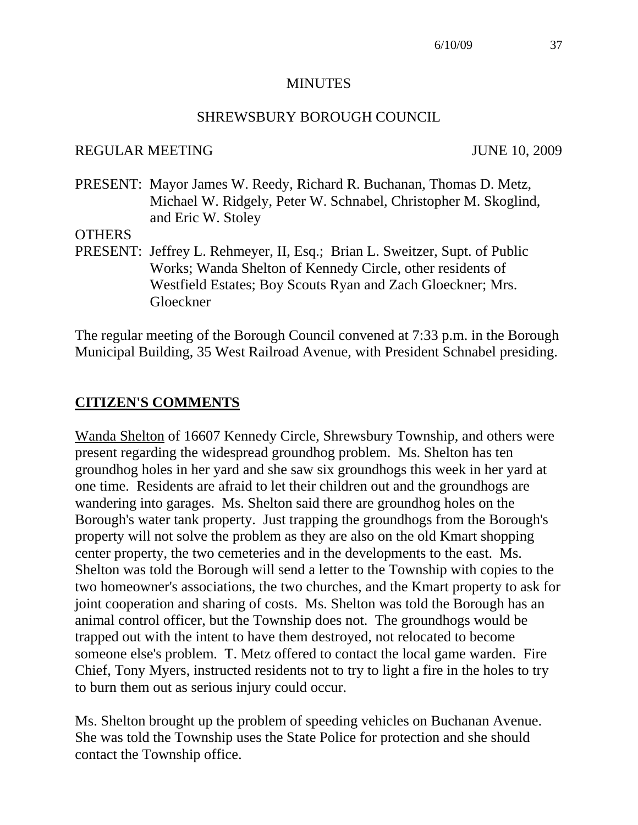#### **MINUTES**

#### SHREWSBURY BOROUGH COUNCIL

#### REGULAR MEETING JUNE 10, 2009

PRESENT: Mayor James W. Reedy, Richard R. Buchanan, Thomas D. Metz, Michael W. Ridgely, Peter W. Schnabel, Christopher M. Skoglind, and Eric W. Stoley

#### **OTHERS**

PRESENT: Jeffrey L. Rehmeyer, II, Esq.; Brian L. Sweitzer, Supt. of Public Works; Wanda Shelton of Kennedy Circle, other residents of Westfield Estates; Boy Scouts Ryan and Zach Gloeckner; Mrs. Gloeckner

The regular meeting of the Borough Council convened at 7:33 p.m. in the Borough Municipal Building, 35 West Railroad Avenue, with President Schnabel presiding.

#### **CITIZEN'S COMMENTS**

Wanda Shelton of 16607 Kennedy Circle, Shrewsbury Township, and others were present regarding the widespread groundhog problem. Ms. Shelton has ten groundhog holes in her yard and she saw six groundhogs this week in her yard at one time. Residents are afraid to let their children out and the groundhogs are wandering into garages. Ms. Shelton said there are groundhog holes on the Borough's water tank property. Just trapping the groundhogs from the Borough's property will not solve the problem as they are also on the old Kmart shopping center property, the two cemeteries and in the developments to the east. Ms. Shelton was told the Borough will send a letter to the Township with copies to the two homeowner's associations, the two churches, and the Kmart property to ask for joint cooperation and sharing of costs. Ms. Shelton was told the Borough has an animal control officer, but the Township does not. The groundhogs would be trapped out with the intent to have them destroyed, not relocated to become someone else's problem. T. Metz offered to contact the local game warden. Fire Chief, Tony Myers, instructed residents not to try to light a fire in the holes to try to burn them out as serious injury could occur.

Ms. Shelton brought up the problem of speeding vehicles on Buchanan Avenue. She was told the Township uses the State Police for protection and she should contact the Township office.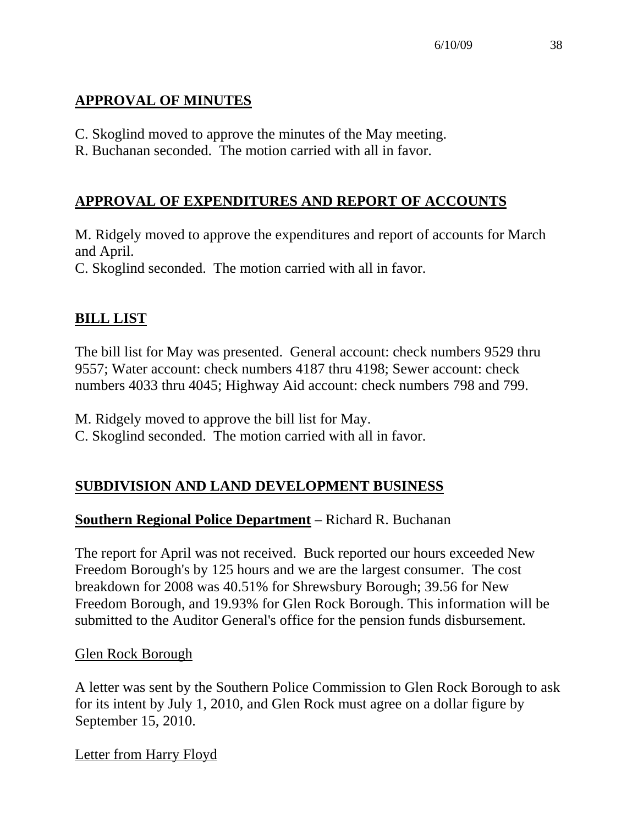## **APPROVAL OF MINUTES**

- C. Skoglind moved to approve the minutes of the May meeting.
- R. Buchanan seconded. The motion carried with all in favor.

# **APPROVAL OF EXPENDITURES AND REPORT OF ACCOUNTS**

M. Ridgely moved to approve the expenditures and report of accounts for March and April.

C. Skoglind seconded. The motion carried with all in favor.

# **BILL LIST**

The bill list for May was presented. General account: check numbers 9529 thru 9557; Water account: check numbers 4187 thru 4198; Sewer account: check numbers 4033 thru 4045; Highway Aid account: check numbers 798 and 799.

M. Ridgely moved to approve the bill list for May.

C. Skoglind seconded. The motion carried with all in favor.

# **SUBDIVISION AND LAND DEVELOPMENT BUSINESS**

# **Southern Regional Police Department** – Richard R. Buchanan

The report for April was not received. Buck reported our hours exceeded New Freedom Borough's by 125 hours and we are the largest consumer. The cost breakdown for 2008 was 40.51% for Shrewsbury Borough; 39.56 for New Freedom Borough, and 19.93% for Glen Rock Borough. This information will be submitted to the Auditor General's office for the pension funds disbursement.

## Glen Rock Borough

A letter was sent by the Southern Police Commission to Glen Rock Borough to ask for its intent by July 1, 2010, and Glen Rock must agree on a dollar figure by September 15, 2010.

Letter from Harry Floyd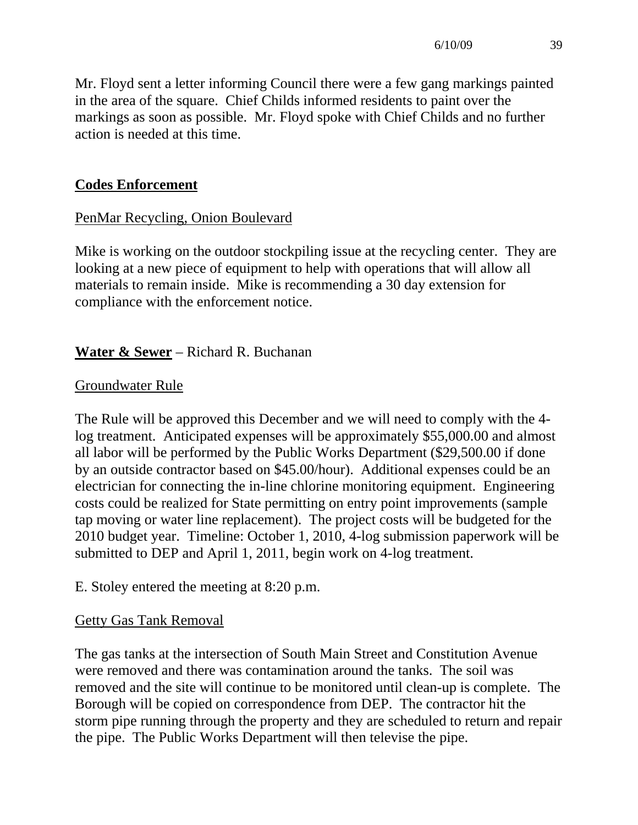Mr. Floyd sent a letter informing Council there were a few gang markings painted in the area of the square. Chief Childs informed residents to paint over the markings as soon as possible. Mr. Floyd spoke with Chief Childs and no further action is needed at this time.

### **Codes Enforcement**

### PenMar Recycling, Onion Boulevard

Mike is working on the outdoor stockpiling issue at the recycling center. They are looking at a new piece of equipment to help with operations that will allow all materials to remain inside. Mike is recommending a 30 day extension for compliance with the enforcement notice.

## **Water & Sewer** – Richard R. Buchanan

#### Groundwater Rule

The Rule will be approved this December and we will need to comply with the 4 log treatment. Anticipated expenses will be approximately \$55,000.00 and almost all labor will be performed by the Public Works Department (\$29,500.00 if done by an outside contractor based on \$45.00/hour). Additional expenses could be an electrician for connecting the in-line chlorine monitoring equipment. Engineering costs could be realized for State permitting on entry point improvements (sample tap moving or water line replacement). The project costs will be budgeted for the 2010 budget year. Timeline: October 1, 2010, 4-log submission paperwork will be submitted to DEP and April 1, 2011, begin work on 4-log treatment.

E. Stoley entered the meeting at 8:20 p.m.

#### Getty Gas Tank Removal

The gas tanks at the intersection of South Main Street and Constitution Avenue were removed and there was contamination around the tanks. The soil was removed and the site will continue to be monitored until clean-up is complete. The Borough will be copied on correspondence from DEP. The contractor hit the storm pipe running through the property and they are scheduled to return and repair the pipe. The Public Works Department will then televise the pipe.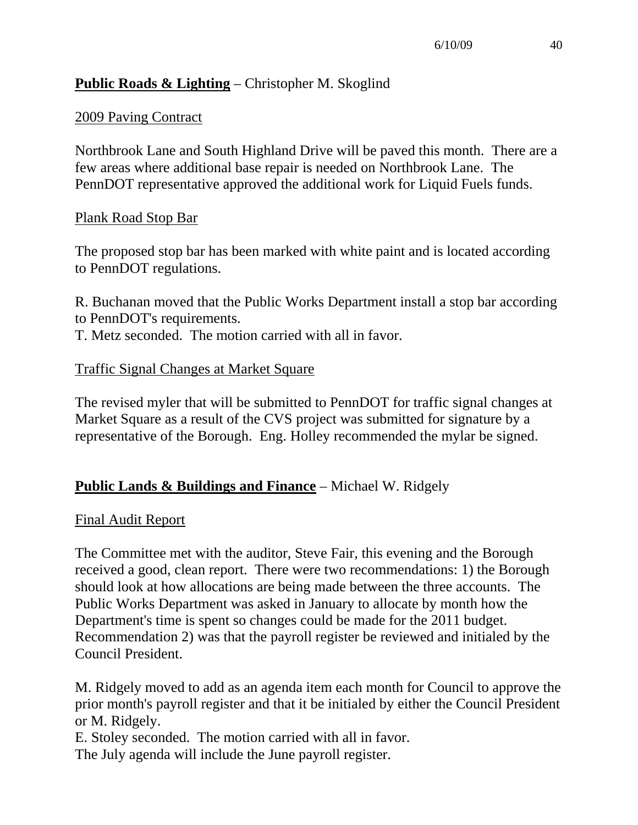## **Public Roads & Lighting** – Christopher M. Skoglind

#### 2009 Paving Contract

Northbrook Lane and South Highland Drive will be paved this month. There are a few areas where additional base repair is needed on Northbrook Lane. The PennDOT representative approved the additional work for Liquid Fuels funds.

#### Plank Road Stop Bar

The proposed stop bar has been marked with white paint and is located according to PennDOT regulations.

R. Buchanan moved that the Public Works Department install a stop bar according to PennDOT's requirements.

T. Metz seconded. The motion carried with all in favor.

### Traffic Signal Changes at Market Square

The revised myler that will be submitted to PennDOT for traffic signal changes at Market Square as a result of the CVS project was submitted for signature by a representative of the Borough. Eng. Holley recommended the mylar be signed.

## **Public Lands & Buildings and Finance** – Michael W. Ridgely

#### Final Audit Report

The Committee met with the auditor, Steve Fair, this evening and the Borough received a good, clean report. There were two recommendations: 1) the Borough should look at how allocations are being made between the three accounts. The Public Works Department was asked in January to allocate by month how the Department's time is spent so changes could be made for the 2011 budget. Recommendation 2) was that the payroll register be reviewed and initialed by the Council President.

M. Ridgely moved to add as an agenda item each month for Council to approve the prior month's payroll register and that it be initialed by either the Council President or M. Ridgely.

E. Stoley seconded. The motion carried with all in favor. The July agenda will include the June payroll register.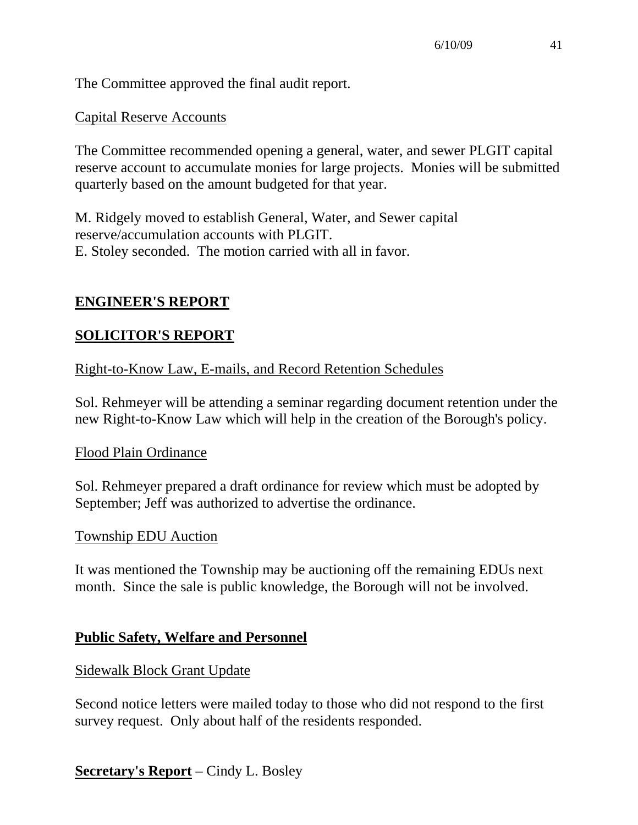The Committee approved the final audit report.

### Capital Reserve Accounts

The Committee recommended opening a general, water, and sewer PLGIT capital reserve account to accumulate monies for large projects. Monies will be submitted quarterly based on the amount budgeted for that year.

M. Ridgely moved to establish General, Water, and Sewer capital reserve/accumulation accounts with PLGIT. E. Stoley seconded. The motion carried with all in favor.

### **ENGINEER'S REPORT**

### **SOLICITOR'S REPORT**

Right-to-Know Law, E-mails, and Record Retention Schedules

Sol. Rehmeyer will be attending a seminar regarding document retention under the new Right-to-Know Law which will help in the creation of the Borough's policy.

#### Flood Plain Ordinance

Sol. Rehmeyer prepared a draft ordinance for review which must be adopted by September; Jeff was authorized to advertise the ordinance.

#### Township EDU Auction

It was mentioned the Township may be auctioning off the remaining EDUs next month. Since the sale is public knowledge, the Borough will not be involved.

#### **Public Safety, Welfare and Personnel**

#### Sidewalk Block Grant Update

Second notice letters were mailed today to those who did not respond to the first survey request. Only about half of the residents responded.

**Secretary's Report** – Cindy L. Bosley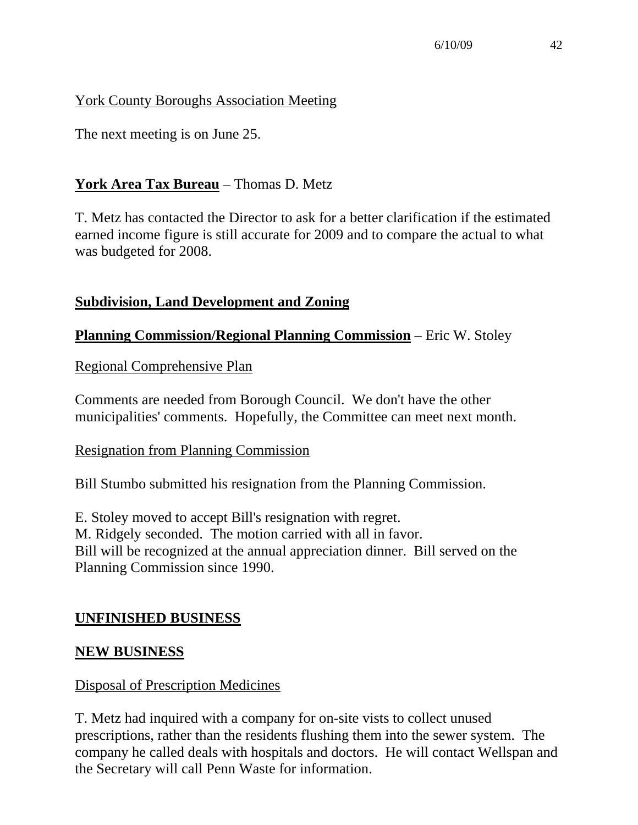## York County Boroughs Association Meeting

The next meeting is on June 25.

## **York Area Tax Bureau** – Thomas D. Metz

T. Metz has contacted the Director to ask for a better clarification if the estimated earned income figure is still accurate for 2009 and to compare the actual to what was budgeted for 2008.

## **Subdivision, Land Development and Zoning**

## **Planning Commission/Regional Planning Commission** – Eric W. Stoley

Regional Comprehensive Plan

Comments are needed from Borough Council. We don't have the other municipalities' comments. Hopefully, the Committee can meet next month.

## Resignation from Planning Commission

Bill Stumbo submitted his resignation from the Planning Commission.

E. Stoley moved to accept Bill's resignation with regret. M. Ridgely seconded. The motion carried with all in favor. Bill will be recognized at the annual appreciation dinner. Bill served on the Planning Commission since 1990.

## **UNFINISHED BUSINESS**

## **NEW BUSINESS**

#### Disposal of Prescription Medicines

T. Metz had inquired with a company for on-site vists to collect unused prescriptions, rather than the residents flushing them into the sewer system. The company he called deals with hospitals and doctors. He will contact Wellspan and the Secretary will call Penn Waste for information.